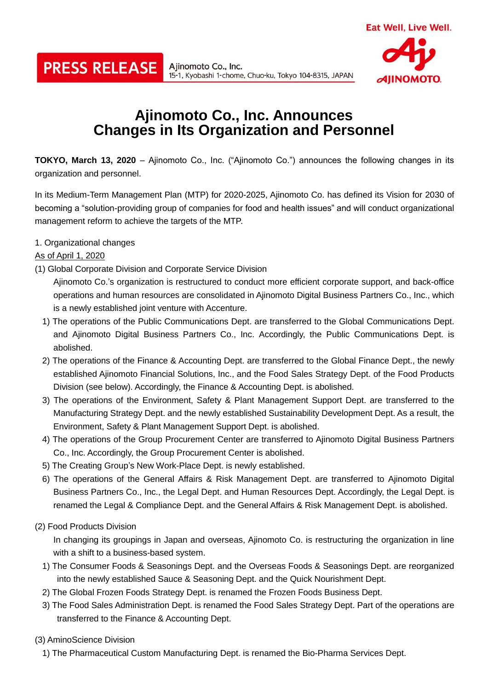# **Ajinomoto Co., Inc. Announces Changes in Its Organization and Personnel**

15-1, Kyobashi 1-chome, Chuo-ku, Tokyo 104-8315, JAPAN

**TOKYO, March 13, 2020** – Ajinomoto Co., Inc. ("Ajinomoto Co.") announces the following changes in its organization and personnel.

In its Medium-Term Management Plan (MTP) for 2020-2025, Ajinomoto Co. has defined its Vision for 2030 of becoming a "solution-providing group of companies for food and health issues" and will conduct organizational management reform to achieve the targets of the MTP.

1. Organizational changes

### As of April 1, 2020

(1) Global Corporate Division and Corporate Service Division

**PRESS RELEASE** All *Allinomoto Co., Inc.* 

Ajinomoto Co.'s organization is restructured to conduct more efficient corporate support, and back-office operations and human resources are consolidated in Ajinomoto Digital Business Partners Co., Inc., which is a newly established joint venture with Accenture.

- 1) The operations of the Public Communications Dept. are transferred to the Global Communications Dept. and Ajinomoto Digital Business Partners Co., Inc. Accordingly, the Public Communications Dept. is abolished.
- 2) The operations of the Finance & Accounting Dept. are transferred to the Global Finance Dept., the newly established Ajinomoto Financial Solutions, Inc., and the Food Sales Strategy Dept. of the Food Products Division (see below). Accordingly, the Finance & Accounting Dept. is abolished.
- 3) The operations of the Environment, Safety & Plant Management Support Dept. are transferred to the Manufacturing Strategy Dept. and the newly established Sustainability Development Dept. As a result, the Environment, Safety & Plant Management Support Dept. is abolished.
- 4) The operations of the Group Procurement Center are transferred to Ajinomoto Digital Business Partners Co., Inc. Accordingly, the Group Procurement Center is abolished.
- 5) The Creating Group's New Work-Place Dept. is newly established.
- 6) The operations of the General Affairs & Risk Management Dept. are transferred to Ajinomoto Digital Business Partners Co., Inc., the Legal Dept. and Human Resources Dept. Accordingly, the Legal Dept. is renamed the Legal & Compliance Dept. and the General Affairs & Risk Management Dept. is abolished.
- (2) Food Products Division

In changing its groupings in Japan and overseas, Ajinomoto Co. is restructuring the organization in line with a shift to a business-based system.

- 1) The Consumer Foods & Seasonings Dept. and the Overseas Foods & Seasonings Dept. are reorganized into the newly established Sauce & Seasoning Dept. and the Quick Nourishment Dept.
- 2) The Global Frozen Foods Strategy Dept. is renamed the Frozen Foods Business Dept.
- 3) The Food Sales Administration Dept. is renamed the Food Sales Strategy Dept. Part of the operations are transferred to the Finance & Accounting Dept.

### (3) AminoScience Division

1) The Pharmaceutical Custom Manufacturing Dept. is renamed the Bio-Pharma Services Dept.